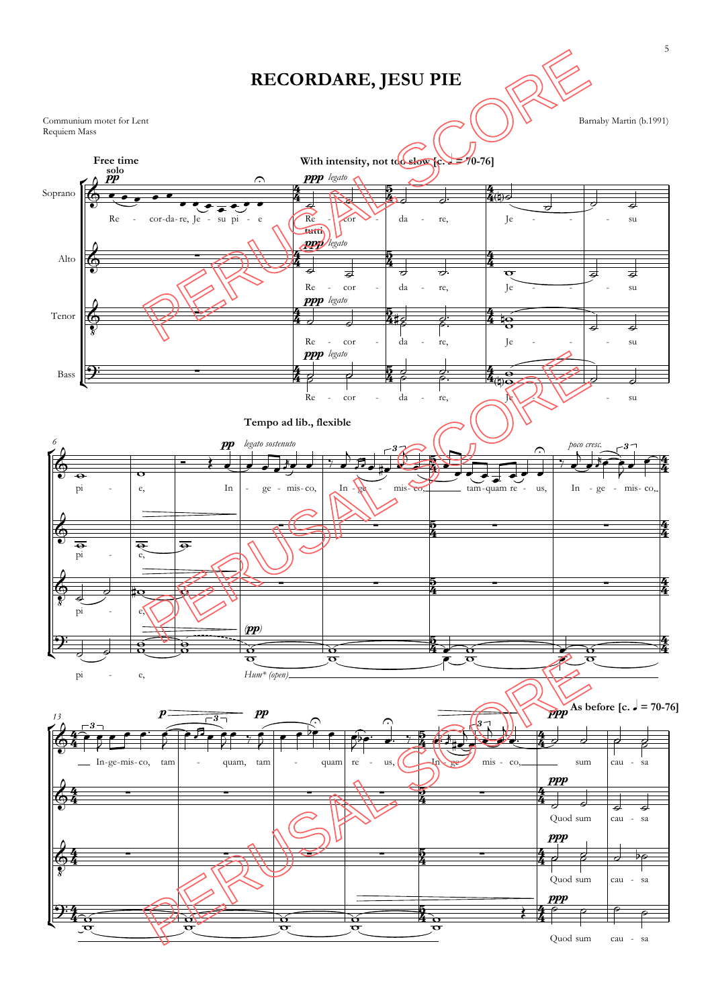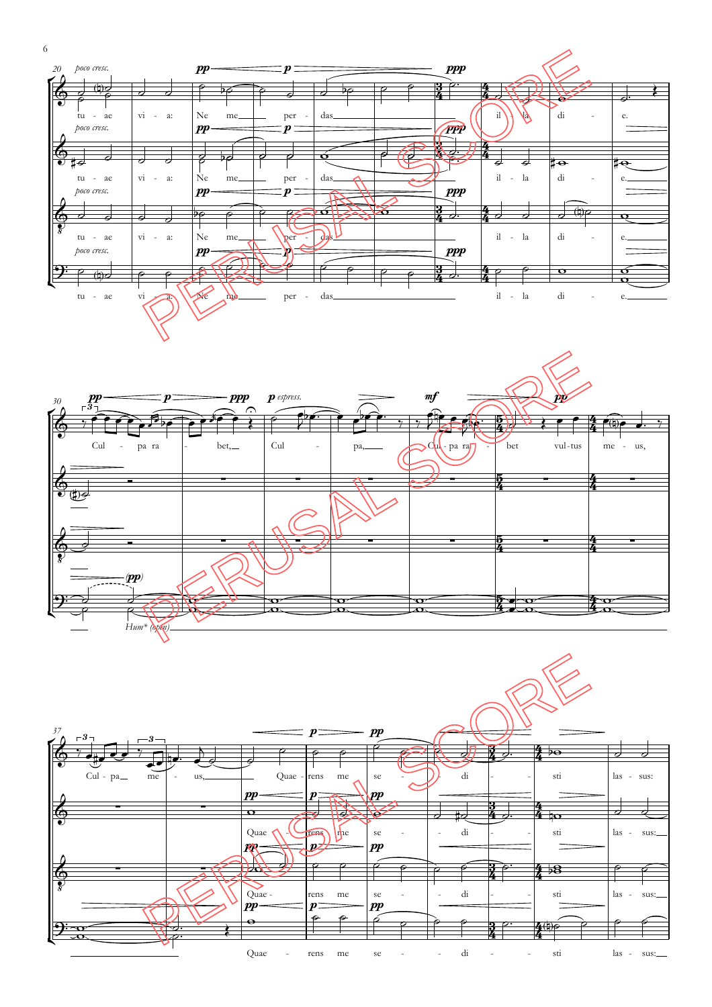





6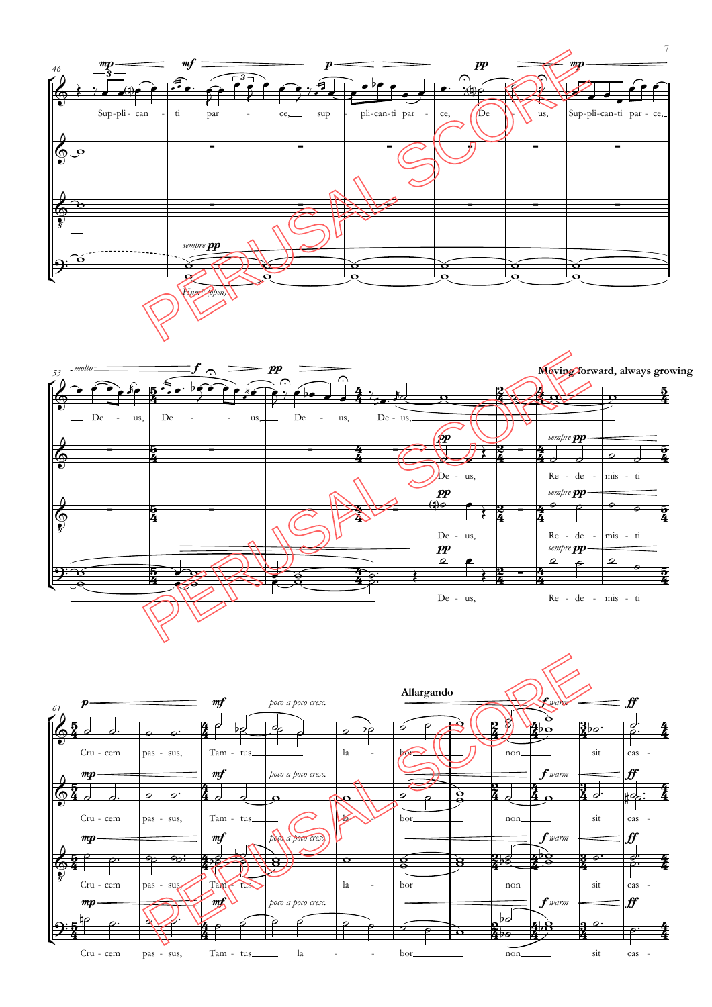